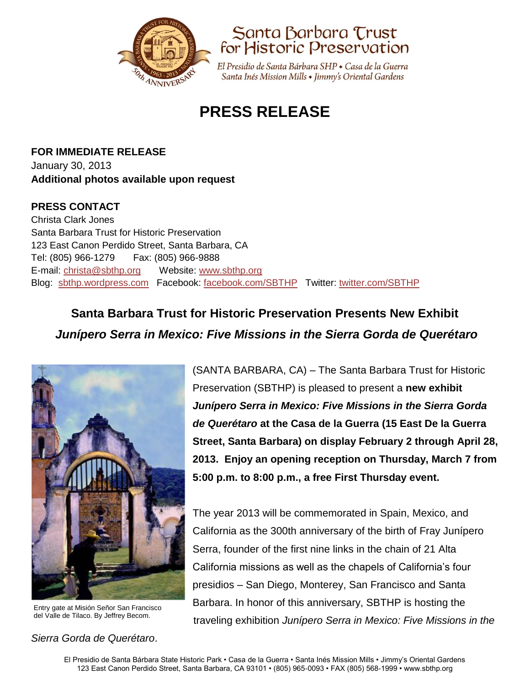



El Presidio de Santa Bárbara SHP • Casa de la Guerra Santa Inés Mission Mills • Jimmy's Oriental Gardens

# **PRESS RELEASE**

**FOR IMMEDIATE RELEASE** January 30, 2013 **Additional photos available upon request**

#### **PRESS CONTACT**

Christa Clark Jones Santa Barbara Trust for Historic Preservation 123 East Canon Perdido Street, Santa Barbara, CA Tel: (805) 966-1279 Fax: (805) 966-9888 E-mail: [christa@sbthp.org](mailto:christa@sbthp.org) Website: [www.sbthp.org](http://www.sbthp.org/) Blog: [sbthp.wordpress.com](http://sbthp.wordpress.com/) Facebook: [facebook.com/SBTHP](http://www.facebook.com/SBTHP) Twitter: [twitter.com/SBTHP](http://twitter.com/SBTHP)

## **Santa Barbara Trust for Historic Preservation Presents New Exhibit** *Junípero Serra in Mexico: Five Missions in the Sierra Gorda de Querétaro*



Entry gate at Misión Señor San Francisco del Valle de Tilaco. By Jeffrey Becom.

#### *Sierra Gorda de Querétaro*.

(SANTA BARBARA, CA) – The Santa Barbara Trust for Historic Preservation (SBTHP) is pleased to present a **new exhibit**  *Junípero Serra in Mexico: Five Missions in the Sierra Gorda de Querétaro* **at the Casa de la Guerra (15 East De la Guerra Street, Santa Barbara) on display February 2 through April 28, 2013. Enjoy an opening reception on Thursday, March 7 from 5:00 p.m. to 8:00 p.m., a free First Thursday event.**

The year 2013 will be commemorated in Spain, Mexico, and California as the 300th anniversary of the birth of Fray Junípero Serra, founder of the first nine links in the chain of 21 Alta California missions as well as the chapels of California's four presidios – San Diego, Monterey, San Francisco and Santa Barbara. In honor of this anniversary, SBTHP is hosting the traveling exhibition *Junípero Serra in Mexico: Five Missions in the*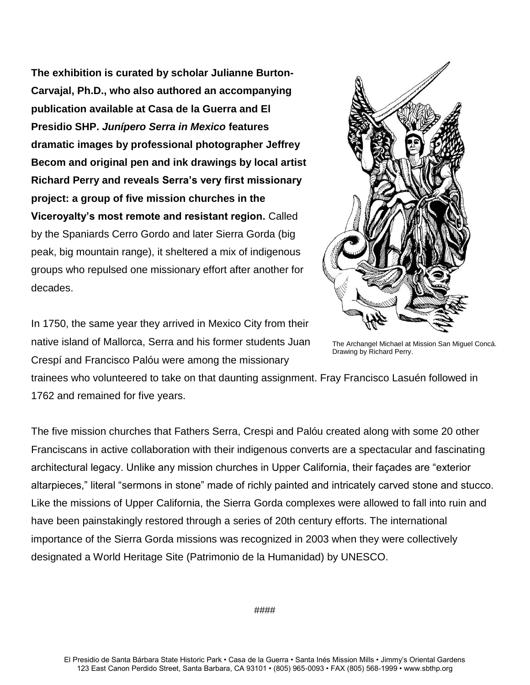**The exhibition is curated by scholar Julianne Burton-Carvajal, Ph.D., who also authored an accompanying publication available at Casa de la Guerra and El Presidio SHP.** *Junípero Serra in Mexico* **features dramatic images by professional photographer Jeffrey Becom and original pen and ink drawings by local artist Richard Perry and reveals Serra's very first missionary project: a group of five mission churches in the Viceroyalty's most remote and resistant region.** Called by the Spaniards Cerro Gordo and later Sierra Gorda (big peak, big mountain range), it sheltered a mix of indigenous groups who repulsed one missionary effort after another for decades.



In 1750, the same year they arrived in Mexico City from their native island of Mallorca, Serra and his former students Juan Crespí and Francisco Palóu were among the missionary

The Archangel Michael at Mission San Miguel Concá. Drawing by Richard Perry.

trainees who volunteered to take on that daunting assignment. Fray Francisco Lasuén followed in 1762 and remained for five years.

The five mission churches that Fathers Serra, Crespi and Palóu created along with some 20 other Franciscans in active collaboration with their indigenous converts are a spectacular and fascinating architectural legacy. Unlike any mission churches in Upper California, their façades are "exterior altarpieces," literal "sermons in stone" made of richly painted and intricately carved stone and stucco. Like the missions of Upper California, the Sierra Gorda complexes were allowed to fall into ruin and have been painstakingly restored through a series of 20th century efforts. The international importance of the Sierra Gorda missions was recognized in 2003 when they were collectively designated a World Heritage Site (Patrimonio de la Humanidad) by UNESCO.